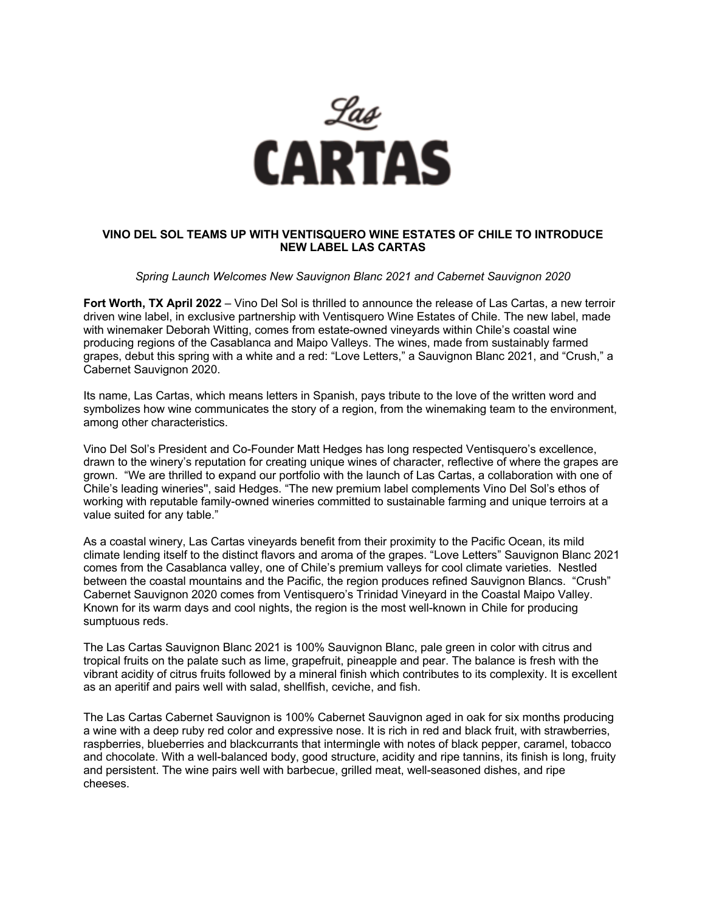

# **VINO DEL SOL TEAMS UP WITH VENTISQUERO WINE ESTATES OF CHILE TO INTRODUCE NEW LABEL LAS CARTAS**

### *Spring Launch Welcomes New Sauvignon Blanc 2021 and Cabernet Sauvignon 2020*

**Fort Worth, TX April 2022** – Vino Del Sol is thrilled to announce the release of Las Cartas, a new terroir driven wine label, in exclusive partnership with Ventisquero Wine Estates of Chile. The new label, made with winemaker Deborah Witting, comes from estate-owned vineyards within Chile's coastal wine producing regions of the Casablanca and Maipo Valleys. The wines, made from sustainably farmed grapes, debut this spring with a white and a red: "Love Letters," a Sauvignon Blanc 2021, and "Crush," a Cabernet Sauvignon 2020.

Its name, Las Cartas, which means letters in Spanish, pays tribute to the love of the written word and symbolizes how wine communicates the story of a region, from the winemaking team to the environment, among other characteristics.

Vino Del Sol's President and Co-Founder Matt Hedges has long respected Ventisquero's excellence, drawn to the winery's reputation for creating unique wines of character, reflective of where the grapes are grown. "We are thrilled to expand our portfolio with the launch of Las Cartas, a collaboration with one of Chile's leading wineries'', said Hedges. "The new premium label complements Vino Del Sol's ethos of working with reputable family-owned wineries committed to sustainable farming and unique terroirs at a value suited for any table."

As a coastal winery, Las Cartas vineyards benefit from their proximity to the Pacific Ocean, its mild climate lending itself to the distinct flavors and aroma of the grapes. "Love Letters" Sauvignon Blanc 2021 comes from the Casablanca valley, one of Chile's premium valleys for cool climate varieties. Nestled between the coastal mountains and the Pacific, the region produces refined Sauvignon Blancs. "Crush" Cabernet Sauvignon 2020 comes from Ventisquero's Trinidad Vineyard in the Coastal Maipo Valley. Known for its warm days and cool nights, the region is the most well-known in Chile for producing sumptuous reds.

The Las Cartas Sauvignon Blanc 2021 is 100% Sauvignon Blanc, pale green in color with citrus and tropical fruits on the palate such as lime, grapefruit, pineapple and pear. The balance is fresh with the vibrant acidity of citrus fruits followed by a mineral finish which contributes to its complexity. It is excellent as an aperitif and pairs well with salad, shellfish, ceviche, and fish.

The Las Cartas Cabernet Sauvignon is 100% Cabernet Sauvignon aged in oak for six months producing a wine with a deep ruby red color and expressive nose. It is rich in red and black fruit, with strawberries, raspberries, blueberries and blackcurrants that intermingle with notes of black pepper, caramel, tobacco and chocolate. With a well-balanced body, good structure, acidity and ripe tannins, its finish is long, fruity and persistent. The wine pairs well with barbecue, grilled meat, well-seasoned dishes, and ripe cheeses.